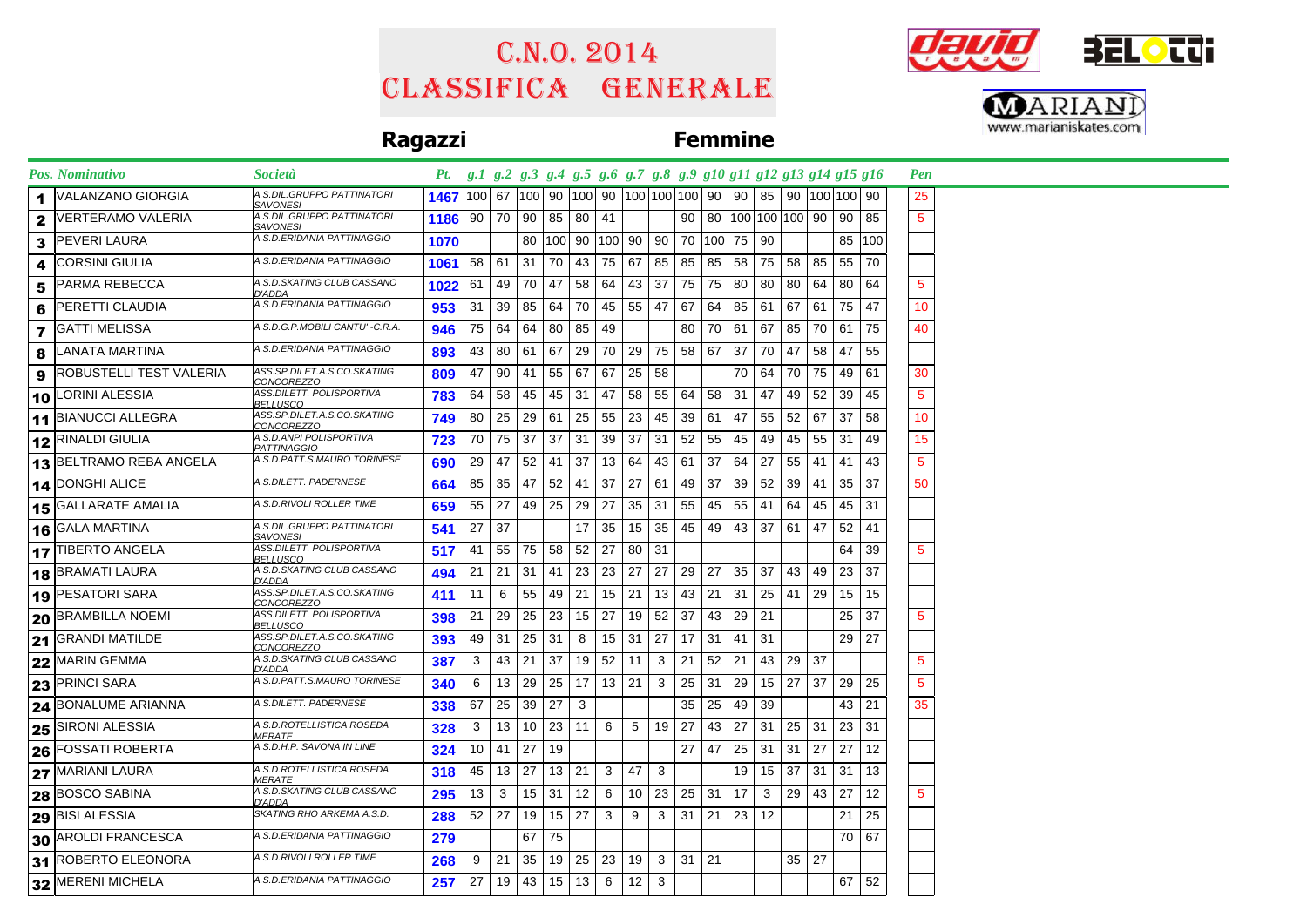# Classifica generale C.n.o. 2014





## **Ragazzi Femmine**

| Pos. Nominativo                       | Società                                          |      |    |    |                 |                          |              |       |              |     |    |    | Pt. g.1 g.2 g.3 g.4 g.5 g.6 g.7 g.8 g.9 g10 g11 g12 g13 g14 g15 g16 |              |    |    |                 |     | Pen             |  |
|---------------------------------------|--------------------------------------------------|------|----|----|-----------------|--------------------------|--------------|-------|--------------|-----|----|----|---------------------------------------------------------------------|--------------|----|----|-----------------|-----|-----------------|--|
| VALANZANO GIORGIA                     | A.S.DIL.GRUPPO PATTINATORI<br>SAVONESI           | 1467 |    |    |                 |                          |              |       |              |     |    |    |                                                                     |              |    |    |                 |     | 25              |  |
| <b>VERTERAMO VALERIA</b><br>2         | A.S.DIL.GRUPPO PATTINATORI<br><u>SAVONESI</u>    | 1186 |    |    | 90   70   90    |                          | 85   80   41 |       |              |     | 90 |    | 80   100   100   100   90                                           |              |    |    | 90 <sub>1</sub> | 85  | $5\phantom{.0}$ |  |
| <b>PEVERI LAURA</b><br>3              | A.S.D.ERIDANIA PATTINAGGIO                       | 1070 |    |    |                 | 80   100   90   100   90 |              |       |              |     |    |    | 90 70 100 75                                                        | 90           |    |    | 85   100        |     |                 |  |
| <b>CORSINI GIULIA</b>                 | A.S.D.ERIDANIA PATTINAGGIO                       | 1061 | 58 | 61 | 31              | 70                       | 43           | 75 67 |              | 85  | 85 | 85 | 58                                                                  | 75           | 58 | 85 | 55              | 70  |                 |  |
| PARMA REBECCA<br>5                    | A.S.D.SKATING CLUB CASSANO<br>D'ADDA             | 1022 | 61 | 49 | 70              | 47                       | 58           | 64    | 43           | 37  | 75 | 75 | 80                                                                  | 80           | 80 | 64 | 80              | -64 | 5               |  |
| PERETTI CLAUDIA<br>6                  | A.S.D.ERIDANIA PATTINAGGIO                       | 953  | 31 | 39 | 85              | 64                       | 70           | 45    | 55           | 47  | 67 | 64 | 85                                                                  | 61           | 67 | 61 | 75              | 47  | 10              |  |
| <b>GATTI MELISSA</b><br>7             | A.S.D.G.P.MOBILI CANTU' -C.R.A.                  | 946  | 75 | 64 | 64              | 80                       | 85           | -49   |              |     | 80 | 70 | 61                                                                  | 67           | 85 | 70 | 61              | 75  | 40              |  |
| LANATA MARTINA                        | A.S.D.ERIDANIA PATTINAGGIO                       | 893  | 43 | 80 | 61              | 67                       | 29           | 70    | 29           | 75  | 58 | 67 | 37                                                                  | 70           | 47 | 58 | 47              | 55  |                 |  |
| ROBUSTELLI TEST VALERIA<br>9          | ASS.SP.DILET.A.S.CO.SKATING<br><u>CONCOREZZO</u> | 809  | 47 | 90 | 41              | 55                       | 67           | 67    | 25           | 58  |    |    |                                                                     | 70 64        | 70 | 75 | 49              | 61  | 30              |  |
| 10 LORINI ALESSIA                     | ASS.DILETT. POLISPORTIVA<br><u>BELLUSCO</u>      | 783  | 64 | 58 | 45              | 45                       | 31           | 47    | 58           | 55  | 64 | 58 | 31                                                                  | 47           | 49 | 52 | 39              | 45  | $5\phantom{.0}$ |  |
| 11 BIANUCCI ALLEGRA                   | ASS.SP.DILET.A.S.CO.SKATING<br>CONCOREZZO        | 749  | 80 | 25 | 29              | 61                       | 25           | 55    | 23           | 45  | 39 | 61 | 47                                                                  | 55           | 52 | 67 | 37              | 58  | 10              |  |
| 12 RINALDI GIULIA                     | A.S.D.ANPI POLISPORTIVA<br>PATTINAGGIO           | 723  | 70 | 75 | 37              | 37                       | 31           | 39    | 37           | 31  | 52 | 55 | 45                                                                  | 49           | 45 | 55 | 31              | 49  | 15              |  |
| 13 BELTRAMO REBA ANGELA               | A.S.D.PATT.S.MAURO TORINESE                      | 690  | 29 | 47 | 52              | 41                       | 37           |       | $13 \mid 64$ | 43  | 61 | 37 | 64                                                                  | 27           | 55 | 41 | -41             | 43  | $\overline{5}$  |  |
| 14 DONGHI ALICE                       | A.S.DILETT. PADERNESE                            | 664  | 85 | 35 | 47              | 52                       | 41           | 37    | 27           | 61  | 49 | 37 | 39                                                                  | 52           | 39 | 41 | 35              | 37  | 50              |  |
| <b>15 GALLARATE AMALIA</b>            | A.S.D.RIVOLI ROLLER TIME                         | 659  | 55 | 27 |                 | 49 25                    | 29           | 27    | 35           | -31 | 55 | 45 | 55                                                                  | 41           | 64 | 45 | 45              | -31 |                 |  |
| 16 GALA MARTINA                       | A.S.DIL.GRUPPO PATTINATORI<br><b>SAVONESI</b>    | 541  | 27 | 37 |                 |                          | 17           | 35    | 15           | 35  | 45 | 49 | 43                                                                  | 37           | 61 | 47 | 52              | 41  |                 |  |
| 17 TIBERTO ANGELA                     | ASS.DILETT. POLISPORTIVA<br>BELLUSCO             | 517  | 41 | 55 |                 | 75 58 52                 |              | 27    | 80           | 31  |    |    |                                                                     |              |    |    | 64              | 39  | 5               |  |
| 18 BRAMATI LAURA                      | A.S.D.SKATING CLUB CASSANO<br>D'ADDA             | 494  | 21 | 21 | 31              | 41                       | 23           | 23 27 |              | 27  | 29 | 27 |                                                                     | $35 \mid 37$ | 43 | 49 | 23              | 37  |                 |  |
| 19 PESATORI SARA                      | ASS.SP.DILET.A.S.CO.SKATING<br>CONCOREZZO        | 411  | 11 | 6  | 55              | 49                       | 21           |       | 15 21        | 13  | 43 | 21 | 31                                                                  | 25           | 41 | 29 | 15              | 15  |                 |  |
| 20 BRAMBILLA NOEMI                    | ASS.DILETT. POLISPORTIVA<br><u>BELLUSCO</u>      | 398  | 21 | 29 | 25              | 23                       | 15           | 27    | 19           | 52  | 37 | 43 | 29                                                                  | 21           |    |    | 25              | 37  | $\sqrt{5}$      |  |
| 21 GRANDI MATILDE                     | ASS.SP.DILET.A.S.CO.SKATING<br><i>CONCOREZZO</i> | 393  | 49 | 31 | 25              | 31                       | 8            |       | $15 \mid 31$ | 27  | 17 | 31 | 41                                                                  | 31           |    |    | 29              | 27  |                 |  |
| 22 MARIN GEMMA                        | A.S.D.SKATING CLUB CASSANO<br>D'ADDA             | 387  | 3  | 43 | 21              | 37                       | 19           |       | $52$ 11      | 3   | 21 | 52 | 21                                                                  | 43           | 29 | 37 |                 |     | $\sqrt{5}$      |  |
| 23 PRINCI SARA                        | A.S.D.PATT.S.MAURO TORINESE                      | 340  | 6  | 13 | 29              | 25                       | 17           | 13 21 |              | 3   | 25 | 31 | 29                                                                  | 15           | 27 | 37 | 29              | 25  | $\overline{5}$  |  |
| 24 BONALUME ARIANNA                   | A.S.DILETT. PADERNESE                            | 338  | 67 | 25 | 39              | 27                       | 3            |       |              |     | 35 | 25 | 49                                                                  | 39           |    |    | 43              | 21  | 35              |  |
| 25 SIRONI ALESSIA                     | A.S.D.ROTELLISTICA ROSEDA<br><b>MERATE</b>       | 328  | 3  | 13 | 10 <sup>1</sup> | 23                       | 11           | 6     | 5            | 19  | 27 | 43 | 27                                                                  | 31           | 25 | 31 | 23              | 31  |                 |  |
| 26 FOSSATI ROBERTA                    | A.S.D.H.P. SAVONA IN LINE                        | 324  | 10 | 41 | 27              | 19                       |              |       |              |     | 27 | 47 | 25                                                                  | 31           | 31 | 27 | 27              | 12  |                 |  |
| 27 MARIANI LAURA                      | A.S.D.ROTELLISTICA ROSEDA<br><b>MERATE</b>       | 318  | 45 | 13 | 27              | 13                       | 21           | 3     | 47           | 3   |    |    | 19                                                                  | 15           | 37 | 31 | 31              | 13  |                 |  |
| <b>BOSCO SABINA</b><br>28             | A.S.D.SKATING CLUB CASSANO<br>D'ADDA             | 295  | 13 | 3  | 15              | 31                       | 12           | 6     | 10           | 23  | 25 | 31 | 17                                                                  | 3            | 29 | 43 | 27              | 12  | 5               |  |
| $\overline{\mathbf{29}}$ BISI ALESSIA | SKATING RHO ARKEMA A.S.D.                        | 288  | 52 | 27 | 19              | $15 \mid 27$             |              | 3     | 9            | 3   | 31 | 21 | 23 <sup>1</sup>                                                     | 12           |    |    | 21              | 25  |                 |  |
| 30 AROLDI FRANCESCA                   | A.S.D.ERIDANIA PATTINAGGIO                       | 279  |    |    | 67              | 75                       |              |       |              |     |    |    |                                                                     |              |    |    | 70              | 67  |                 |  |
| 31 ROBERTO ELEONORA                   | A.S.D.RIVOLI ROLLER TIME                         | 268  | 9  | 21 | 35              | 19                       | 25           | 23    | 19           | 3   | 31 | 21 |                                                                     |              | 35 | 27 |                 |     |                 |  |
| 32 MERENI MICHELA                     | A.S.D.ERIDANIA PATTINAGGIO                       | 257  | 27 | 19 |                 | $43$   15   13           |              | 6     | 12           | 3   |    |    |                                                                     |              |    |    | 67              | 52  |                 |  |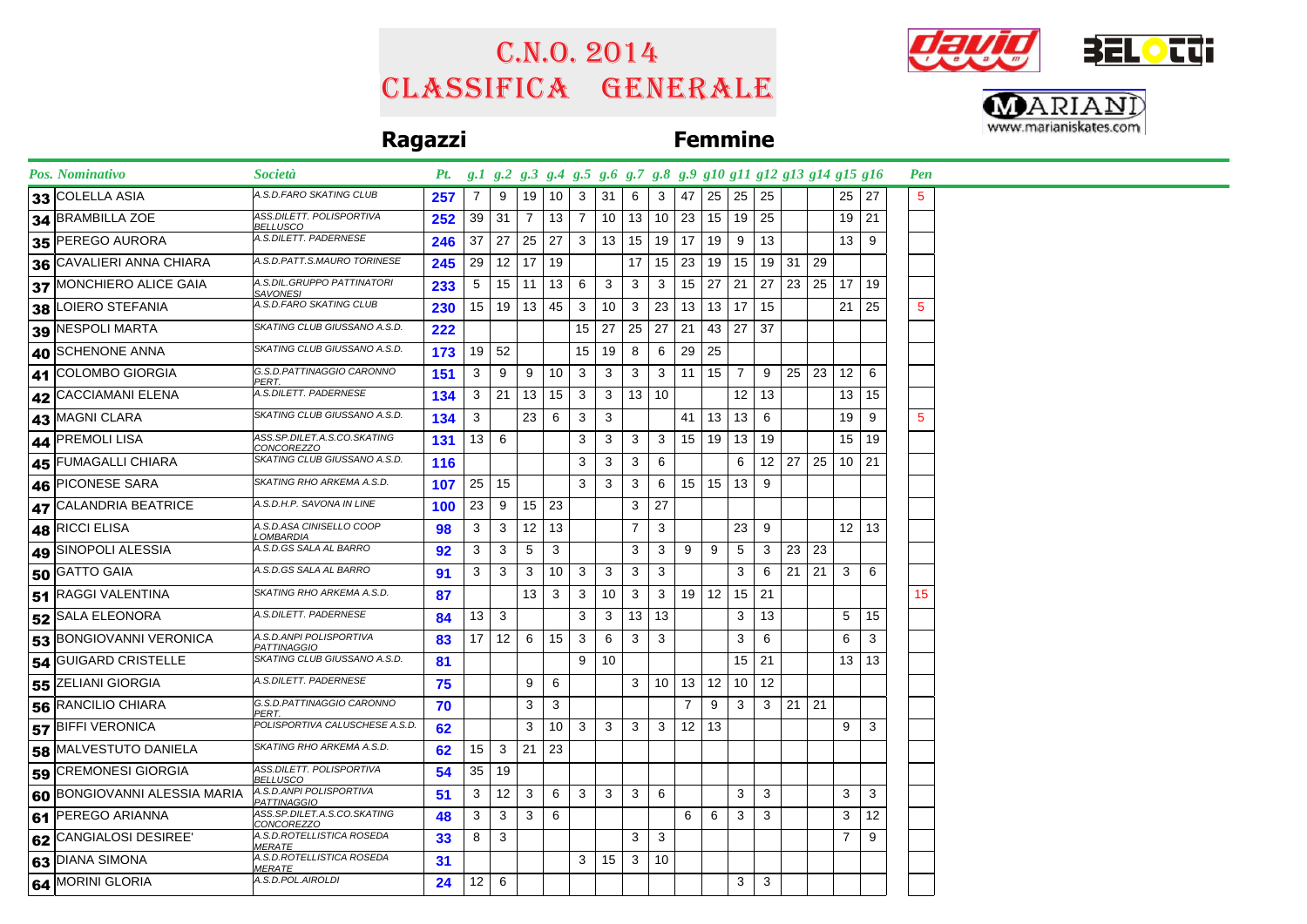# Classifica generale C.n.o. 2014





## **Ragazzi Femmine**

| Pos. Nominativo              | <i>Società</i>                                | Pt. g.1 g.2 g.3 g.4 g.5 g.6 g.7 g.8 g.9 g10 g11 g12 g13 g14 g15 g16 |                 |                   |                   |    |                |                 |                |                 |                 |              |                 |    |              |     |                 |              | Pen             |  |
|------------------------------|-----------------------------------------------|---------------------------------------------------------------------|-----------------|-------------------|-------------------|----|----------------|-----------------|----------------|-----------------|-----------------|--------------|-----------------|----|--------------|-----|-----------------|--------------|-----------------|--|
| 33 COLELLA ASIA              | A.S.D.FARO SKATING CLUB                       | 257                                                                 | $\overline{7}$  | 9                 | 19                | 10 | 3              | 31              | 6              | 3               | 47              | 25           | 25              | 25 |              |     | 25 27           |              | 5               |  |
| 34 BRAMBILLA ZOE             | ASS.DILETT. POLISPORTIVA<br><b>BELLUSCO</b>   | 252                                                                 | 39              | 31                | 7                 | 13 | 7              | 10 <sup>°</sup> | 13             | 10 <sup>°</sup> | 23              | 15           | 19              | 25 |              |     | $19$ 21         |              |                 |  |
| 35 PEREGO AURORA             | A.S.DILETT. PADERNESE                         | 246                                                                 | 37              | 27                | 25                | 27 | 3 <sup>1</sup> | 13              | 15             | 19 <sup>1</sup> | 17              | 19           | 9               | 13 |              |     | 13 <sup>1</sup> | 9            |                 |  |
| 36 CAVALIERI ANNA CHIARA     | A.S.D.PATT.S.MAURO TORINESE                   | 245                                                                 | 29              | $12$ 17           |                   | 19 |                |                 | 17             | 15              | 23              | 19           | 15              |    | 19 31        | 29  |                 |              |                 |  |
| 37 MONCHIERO ALICE GAIA      | A.S.DIL.GRUPPO PATTINATORI<br><b>SAVONESI</b> | 233                                                                 | 5               | $15$ 11           |                   | 13 | 6              | 3               | 3              | 3               | 15              | 27           | 21              | 27 | 23           | 25  | 17 <sup>1</sup> | 19           |                 |  |
| 38 LOIERO STEFANIA           | A.S.D.FARO SKATING CLUB                       | 230                                                                 | 15 <sub>1</sub> | 19                | 13                | 45 | 3              | 10              | 3              | 23              | 13              | 13           | 17              | 15 |              |     | 21              | 25           | $5\phantom{.0}$ |  |
| 39 NESPOLI MARTA             | SKATING CLUB GIUSSANO A.S.D.                  | 222                                                                 |                 |                   |                   |    |                | $15 \mid 27$    | 25             | 27              | 21              | 43           | 27              | 37 |              |     |                 |              |                 |  |
| 40 SCHENONE ANNA             | SKATING CLUB GIUSSANO A.S.D.                  | 173                                                                 | 19 <sup>1</sup> | 52                |                   |    | 15             | 19              | 8              | 6               | 29              | 25           |                 |    |              |     |                 |              |                 |  |
| 41 COLOMBO GIORGIA           | G.S.D.PATTINAGGIO CARONNO<br>PERT.            | 151                                                                 | 3               | 9                 | 9                 | 10 | 3              | 3               | 3              | 3               | 11              | 15           | 7               | 9  | $25 \mid 23$ |     | 12 <sup>1</sup> | 6            |                 |  |
| 42 CACCIAMANI ELENA          | A.S.DILETT. PADERNESE                         | 134                                                                 | 3               | 21                | 13                | 15 | 3              | 3               | 13             | 10              |                 |              | 12 <sup>2</sup> | 13 |              |     |                 | 13   15      |                 |  |
| 43 MAGNI CLARA               | SKATING CLUB GIUSSANO A.S.D.                  | 134                                                                 | 3               |                   | 23                | 6  | 3              | 3               |                |                 | 41              | 13           | 13              | 6  |              |     | 19              | 9            | 5               |  |
| 44 PREMOLI LISA              | ASS.SP.DILET.A.S.CO.SKATING<br>CONCOREZZO     | 131                                                                 | 13              | -6                |                   |    | 3              | 3               | 3              | 3               | 15 <sup>1</sup> | 19           | 13              | 19 |              |     |                 | 15   19      |                 |  |
| 45 FUMAGALLI CHIARA          | SKATING CLUB GIUSSANO A.S.D.                  | 116                                                                 |                 |                   |                   |    | 3              | 3               | 3              | 6               |                 |              | 6               |    | $12 \mid 27$ | 25  | 10 21           |              |                 |  |
| 46 PICONESE SARA             | SKATING RHO ARKEMA A.S.D.                     | 107                                                                 | 25              | 15                |                   |    | 3              | 3               | 3              | 6               |                 | $15$   15    | 13              | 9  |              |     |                 |              |                 |  |
| 47 CALANDRIA BEATRICE        | A.S.D.H.P. SAVONA IN LINE                     | 100                                                                 | 23              | 9                 | 15                | 23 |                |                 | 3              | 27              |                 |              |                 |    |              |     |                 |              |                 |  |
| 48 RICCI ELISA               | A.S.D.ASA CINISELLO COOP<br>LOMBARDIA         | 98                                                                  | 3               | 3                 | $12 \overline{ }$ | 13 |                |                 | $\overline{7}$ | 3               |                 |              | 23              | 9  |              |     |                 | $12 \mid 13$ |                 |  |
| 49 SINOPOLI ALESSIA          | A.S.D.GS SALA AL BARRO                        | 92                                                                  | 3               | 3                 | 5                 | 3  |                |                 | 3              | 3               | 9               | 9            | 5               | 3  | 23           | 23  |                 |              |                 |  |
| 50 GATTO GAIA                | A.S.D.GS SALA AL BARRO                        | 91                                                                  | 3               | 3                 | 3                 | 10 | 3              | 3               | 3              | 3               |                 |              | 3               | 6  | 21           | 21  | 3 <sup>1</sup>  | 6            |                 |  |
| 51 RAGGI VALENTINA           | SKATING RHO ARKEMA A.S.D.                     | 87                                                                  |                 |                   | 13                | 3  | 3              | 10              | 3              | 3               |                 | $19$   12    | 15              | 21 |              |     |                 |              | 15              |  |
| 52 SALA ELEONORA             | A.S.DILETT. PADERNESE                         | 84                                                                  | 13              | 3                 |                   |    | 3              | 3               | 13             | 13              |                 |              | 3               | 13 |              |     | 5               | 15           |                 |  |
| 53 BONGIOVANNI VERONICA      | A.S.D.ANPI POLISPORTIVA<br><b>PATTINAGGIO</b> | 83                                                                  | 17              | 12                | 6                 | 15 | 3              | 6               | 3              | 3               |                 |              | 3               | 6  |              |     | 6               | 3            |                 |  |
| 54 GUIGARD CRISTELLE         | SKATING CLUB GIUSSANO A.S.D.                  | 81                                                                  |                 |                   |                   |    | 9              | 10              |                |                 |                 |              | 15              | 21 |              |     |                 | $13 \mid 13$ |                 |  |
| 55 ZELIANI GIORGIA           | A.S.DILETT. PADERNESE                         | 75                                                                  |                 |                   | 9                 | 6  |                |                 | 3              | 10              | 13              | 12           | 10 <sup>°</sup> | 12 |              |     |                 |              |                 |  |
| 56 RANCILIO CHIARA           | G.S.D.PATTINAGGIO CARONNO<br>PERT.            | 70                                                                  |                 |                   | 3                 | 3  |                |                 |                |                 | $\overline{7}$  | 9            | 3               | 3  | 21           | -21 |                 |              |                 |  |
| 57 BIFFI VERONICA            | POLISPORTIVA CALUSCHESE A.S.D.                | 62                                                                  |                 |                   | 3                 | 10 | 3              | $\mathbf{3}$    | 3              | 3               |                 | $12 \mid 13$ |                 |    |              |     | 9               | 3            |                 |  |
| 58 MALVESTUTO DANIELA        | SKATING RHO ARKEMA A.S.D.                     | 62                                                                  | 15              | 3                 | 21                | 23 |                |                 |                |                 |                 |              |                 |    |              |     |                 |              |                 |  |
| 59 CREMONESI GIORGIA         | ASS.DILETT. POLISPORTIVA<br><b>BELLUSCO</b>   | 54                                                                  | 35              | 19                |                   |    |                |                 |                |                 |                 |              |                 |    |              |     |                 |              |                 |  |
| 60 BONGIOVANNI ALESSIA MARIA | A.S.D.ANPI POLISPORTIVA<br><b>PATTINAGGIO</b> | 51                                                                  | 3               | $12 \overline{ }$ | 3                 | 6  | 3              | 3               | 3              | 6               |                 |              | 3               | 3  |              |     | 3               | 3            |                 |  |
| 61 PEREGO ARIANNA            | ASS.SP.DILET.A.S.CO.SKATING<br>CONCOREZZO     | 48                                                                  | 3               | 3                 | 3                 | 6  |                |                 |                |                 | 6               | 6            | 3               | 3  |              |     | 3               | 12           |                 |  |
| 62 CANGIALOSI DESIREE'       | A.S.D.ROTELLISTICA ROSEDA<br><b>MERATE</b>    | 33                                                                  | 8               | 3                 |                   |    |                |                 | 3              | 3               |                 |              |                 |    |              |     | $\overline{7}$  | 9            |                 |  |
| 63 DIANA SIMONA              | A.S.D.ROTELLISTICA ROSEDA<br><b>MERATE</b>    | 31                                                                  |                 |                   |                   |    | 3              | 15              | 3              | 10              |                 |              |                 |    |              |     |                 |              |                 |  |
| 64 MORINI GLORIA             | A.S.D.POL.AIROLDI                             | 24                                                                  | 12 <sup>2</sup> | 6                 |                   |    |                |                 |                |                 |                 |              | 3               | 3  |              |     |                 |              |                 |  |